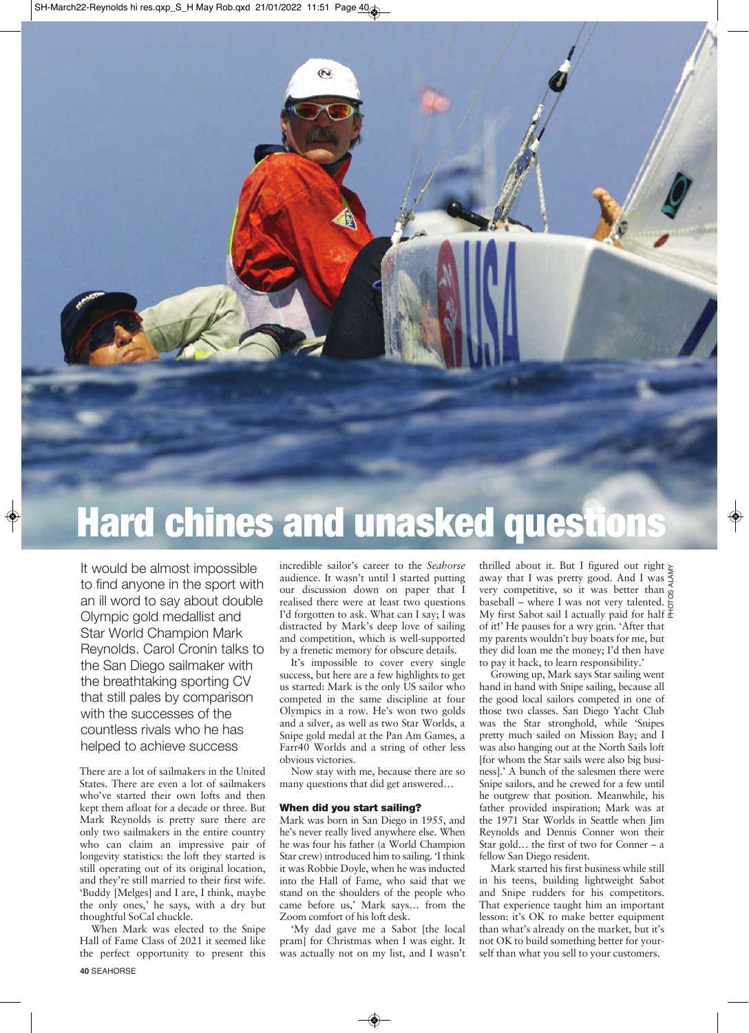

# It would be almost impossible to find anyone in the sport with an ill word to say about double Olympic gold medallist and Star World Champion Mark Reynolds. Carol Cronin talks to the San Diego sailmaker with the breathtaking sporting CV that still pales by comparison with the successes of the countless rivals who he has helped to achieve success

◈

There are a lot of sailmakers in the United States. There are even a lot of sailmakers who've started their own lofts and then kept them afloat for a decade or three. But Mark Reynolds is pretty sure there are only two sailmakers in the entire country who can claim an impressive pair of longevity statistics: the loft they started is still operating out of its original location, and they're still married to their first wife. 'Buddy [Melges] and I are, I think, maybe the only ones,' he says, with a dry but thoughtful SoCal chuckle.

**40** SEAHORSE When Mark was elected to the Snipe Hall of Fame Class of 2021 it seemed like the perfect opportunity to present this

incredible sailor's career to the *Seahorse* audience. It wasn't until I started putting our discussion down on paper that I realised there were at least two questions I'd forgotten to ask. What can I say; I was distracted by Mark's deep love of sailing and competition, which is well-supported by a frenetic memory for obscure details.

It's impossible to cover every single success, but here are a few highlights to get us started: Mark is the only US sailor who competed in the same discipline at four Olympics in a row. He's won two golds and a silver, as well as two Star Worlds, a Snipe gold medal at the Pan Am Games, a Farr40 Worlds and a string of other less obvious victories.

Now stay with me, because there are so many questions that did get answered…

#### **When did you start sailing?**

Mark was born in San Diego in 1955, and he's never really lived anywhere else. When he was four his father (a World Champion Star crew) introduced him to sailing. 'I think it was Robbie Doyle, when he was inducted into the Hall of Fame, who said that we stand on the shoulders of the people who came before us,' Mark says… from the Zoom comfort of his loft desk.

'My dad gave me a Sabot [the local pram] for Christmas when I was eight. It was actually not on my list, and I wasn't

thrilled about it. But I figured out right away that I was pretty good. And I was very competitive, so it was better than baseball – where I was not very talented. My first Sabot sail I actually paid for half  $\frac{\pi}{6}$ of it!' He pauses for a wry grin. 'After that my parents wouldn't buy boats for me, but they did loan me the money; I'd then have to pay it back, to learn responsibility.' PHOTOS ALAMY

Growing up, Mark says Star sailing went hand in hand with Snipe sailing, because all the good local sailors competed in one of those two classes. San Diego Yacht Club was the Star stronghold, while 'Snipes pretty much sailed on Mission Bay; and I was also hanging out at the North Sails loft [for whom the Star sails were also big business].' A bunch of the salesmen there were Snipe sailors, and he crewed for a few until he outgrew that position. Meanwhile, his father provided inspiration; Mark was at the 1971 Star Worlds in Seattle when Jim Reynolds and Dennis Conner won their Star gold… the first of two for Conner – a fellow San Diego resident.

Mark started his first business while still in his teens, building lightweight Sabot and Snipe rudders for his competitors. That experience taught him an important lesson: it's OK to make better equipment than what's already on the market, but it's not OK to build something better for yourself than what you sell to your customers.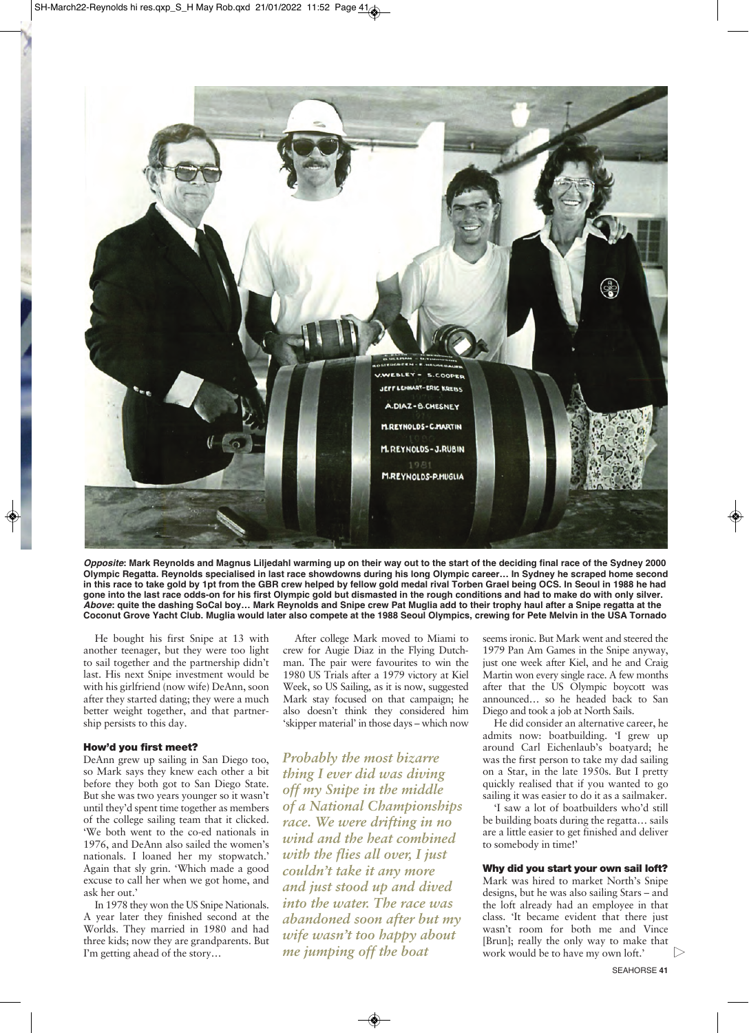

*Opposite***: Mark Reynolds and Magnus Liljedahl warming up on their way out to the start of the deciding final race of the Sydney 2000 Olympic Regatta. Reynolds specialised in last race showdowns during his long Olympic career… In Sydney he scraped home second in this race to take gold by 1pt from the GBR crew helped by fellow gold medal rival Torben Grael being OCS. In Seoul in 1988 he had gone into the last race odds-on for his first Olympic gold but dismasted in the rough conditions and had to make do with only silver.** *Above***: quite the dashing SoCal boy… Mark Reynolds and Snipe crew Pat Muglia add to their trophy haul after a Snipe regatta at the Coconut Grove Yacht Club. Muglia would later also compete at the 1988 Seoul Olympics, crewing for Pete Melvin in the USA Tornado**

He bought his first Snipe at 13 with another teenager, but they were too light to sail together and the partnership didn't last. His next Snipe investment would be with his girlfriend (now wife) DeAnn, soon after they started dating; they were a much better weight together, and that partnership persists to this day.

#### **How'd you first meet?**

DeAnn grew up sailing in San Diego too, so Mark says they knew each other a bit before they both got to San Diego State. But she was two years younger so it wasn't until they'd spent time together as members of the college sailing team that it clicked. 'We both went to the co-ed nationals in 1976, and DeAnn also sailed the women's nationals. I loaned her my stopwatch.' Again that sly grin. 'Which made a good excuse to call her when we got home, and ask her out.'

In 1978 they won the US Snipe Nationals. A year later they finished second at the Worlds. They married in 1980 and had three kids; now they are grandparents. But I'm getting ahead of the story…

After college Mark moved to Miami to crew for Augie Diaz in the Flying Dutchman. The pair were favourites to win the 1980 US Trials after a 1979 victory at Kiel Week, so US Sailing, as it is now, suggested Mark stay focused on that campaign; he also doesn't think they considered him 'skipper material' in those days – which now

*Probably the most bizarre thing I ever did was diving off my Snipe in the middle of a National Championships race. We were drifting in no wind and the heat combined with the flies all over, I just couldn't take it any more and just stood up and dived into the water. The race was abandoned soon after but my wife wasn't too happy about me jumping off the boat*

seems ironic. But Mark went and steered the 1979 Pan Am Games in the Snipe anyway, just one week after Kiel, and he and Craig Martin won every single race. A few months after that the US Olympic boycott was announced… so he headed back to San Diego and took a job at North Sails.

He did consider an alternative career, he admits now: boatbuilding. 'I grew up around Carl Eichenlaub's boatyard; he was the first person to take my dad sailing on a Star, in the late 1950s. But I pretty quickly realised that if you wanted to go sailing it was easier to do it as a sailmaker.

'I saw a lot of boatbuilders who'd still be building boats during the regatta… sails are a little easier to get finished and deliver to somebody in time!'

## **Why did you start your own sail loft?**

Mark was hired to market North's Snipe designs, but he was also sailing Stars – and the loft already had an employee in that class. 'It became evident that there just wasn't room for both me and Vince [Brun]; really the only way to make that work would be to have my own loft.'

SEAHORSE **41**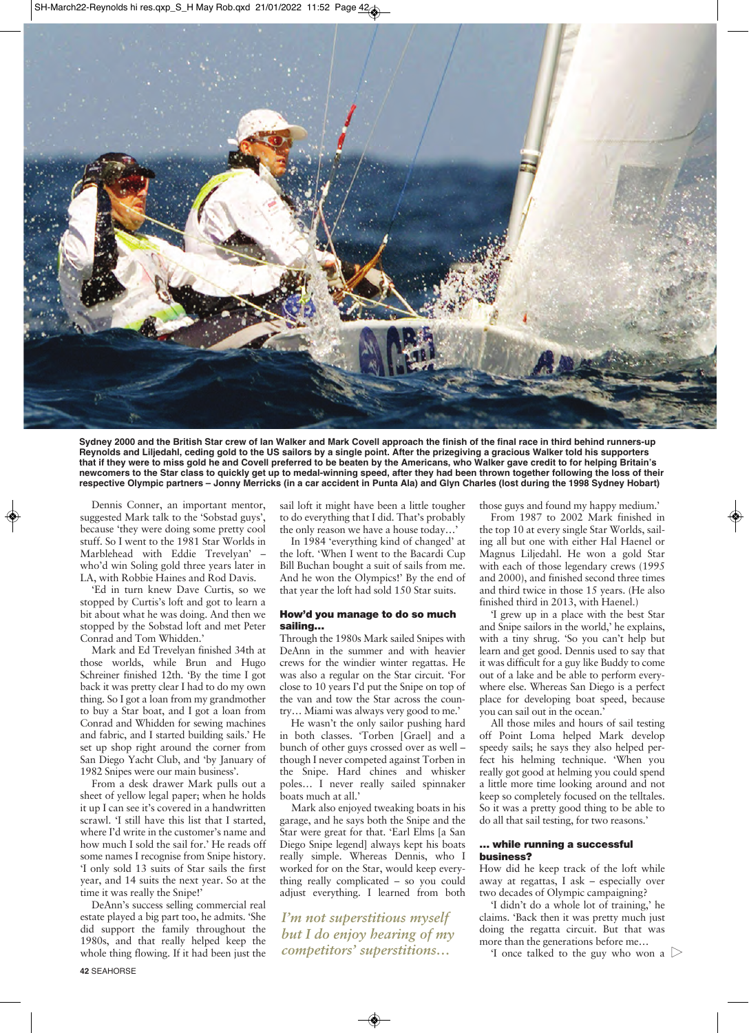

**Sydney 2000 and the British Star crew of Ian Walker and Mark Covell approach the finish of the final race in third behind runners-up Reynolds and Liljedahl, ceding gold to the US sailors by a single point. After the prizegiving a gracious Walker told his supporters that if they were to miss gold he and Covell preferred to be beaten by the Americans, who Walker gave credit to for helping Britain's newcomers to the Star class to quickly get up to medal-winning speed, after they had been thrown together following the loss of their respective Olympic partners – Jonny Merricks (in a car accident in Punta Ala) and Glyn Charles (lost during the 1998 Sydney Hobart)**

Dennis Conner, an important mentor, suggested Mark talk to the 'Sobstad guys', because 'they were doing some pretty cool stuff. So I went to the 1981 Star Worlds in Marblehead with Eddie Trevelyan' – who'd win Soling gold three years later in LA, with Robbie Haines and Rod Davis.

'Ed in turn knew Dave Curtis, so we stopped by Curtis's loft and got to learn a bit about what he was doing. And then we stopped by the Sobstad loft and met Peter Conrad and Tom Whidden.'

Mark and Ed Trevelyan finished 34th at those worlds, while Brun and Hugo Schreiner finished 12th. 'By the time I got back it was pretty clear I had to do my own thing. So I got a loan from my grandmother to buy a Star boat, and I got a loan from Conrad and Whidden for sewing machines and fabric, and I started building sails.' He set up shop right around the corner from San Diego Yacht Club, and 'by January of 1982 Snipes were our main business'.

From a desk drawer Mark pulls out a sheet of yellow legal paper; when he holds it up I can see it's covered in a handwritten scrawl. 'I still have this list that I started, where I'd write in the customer's name and how much I sold the sail for.' He reads off some names I recognise from Snipe history. 'I only sold 13 suits of Star sails the first year, and 14 suits the next year. So at the time it was really the Snipe!'

**42** SEAHORSE DeAnn's success selling commercial real estate played a big part too, he admits. 'She did support the family throughout the 1980s, and that really helped keep the whole thing flowing. If it had been just the sail loft it might have been a little tougher to do everything that I did. That's probably the only reason we have a house today…'

In 1984 'everything kind of changed' at the loft. 'When I went to the Bacardi Cup Bill Buchan bought a suit of sails from me. And he won the Olympics!' By the end of that year the loft had sold 150 Star suits.

#### **How'd you manage to do so much sailing…**

Through the 1980s Mark sailed Snipes with DeAnn in the summer and with heavier crews for the windier winter regattas. He was also a regular on the Star circuit. 'For close to 10 years I'd put the Snipe on top of the van and tow the Star across the country… Miami was always very good to me.'

He wasn't the only sailor pushing hard in both classes. 'Torben [Grael] and a bunch of other guys crossed over as well – though I never competed against Torben in the Snipe. Hard chines and whisker poles… I never really sailed spinnaker boats much at all.'

Mark also enjoyed tweaking boats in his garage, and he says both the Snipe and the Star were great for that. 'Earl Elms [a San Diego Snipe legend] always kept his boats really simple. Whereas Dennis, who I worked for on the Star, would keep everything really complicated – so you could adjust everything. I learned from both

*I'm not superstitious myself but I do enjoy hearing of my competitors' superstitions…*

those guys and found my happy medium.'

From 1987 to 2002 Mark finished in the top 10 at every single Star Worlds, sailing all but one with either Hal Haenel or Magnus Liljedahl. He won a gold Star with each of those legendary crews (1995 and 2000), and finished second three times and third twice in those 15 years. (He also finished third in 2013, with Haenel.)

'I grew up in a place with the best Star and Snipe sailors in the world,' he explains, with a tiny shrug. 'So you can't help but learn and get good. Dennis used to say that it was difficult for a guy like Buddy to come out of a lake and be able to perform everywhere else. Whereas San Diego is a perfect place for developing boat speed, because you can sail out in the ocean.'

All those miles and hours of sail testing off Point Loma helped Mark develop speedy sails; he says they also helped perfect his helming technique. 'When you really got good at helming you could spend a little more time looking around and not keep so completely focused on the telltales. So it was a pretty good thing to be able to do all that sail testing, for two reasons.'

## **… while running a successful business?**

How did he keep track of the loft while away at regattas, I ask – especially over two decades of Olympic campaigning?

'I didn't do a whole lot of training,' he claims. 'Back then it was pretty much just doing the regatta circuit. But that was more than the generations before me…

'I once talked to the guy who won a  $\triangleright$